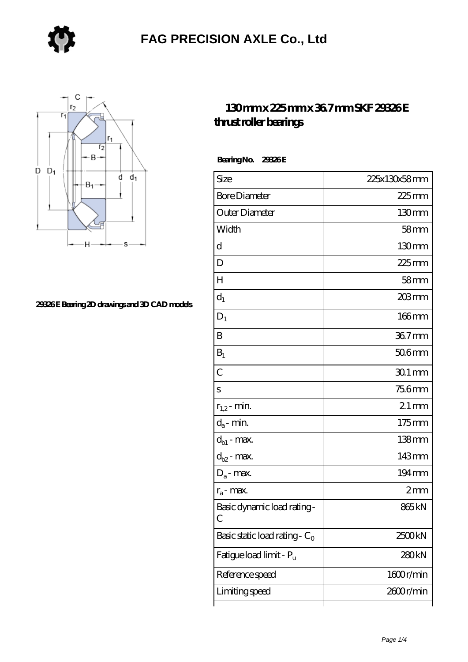



### **[29326 E Bearing 2D drawings and 3D CAD models](https://ggkbs.com/pic-75669.html)**

### **[130 mm x 225 mm x 36.7 mm SKF 29326 E](https://ggkbs.com/www.jp.nsk.com-75669-skf-29326-e-thrust-roller-bearings.html) [thrust roller bearings](https://ggkbs.com/www.jp.nsk.com-75669-skf-29326-e-thrust-roller-bearings.html)**

 **Bearing No. 29326 E**

| Size                                                | 225x130x58mm      |
|-----------------------------------------------------|-------------------|
| <b>Bore Diameter</b>                                | $225$ mm          |
| Outer Diameter                                      | $130 \text{mm}$   |
| Width                                               | 58mm              |
| d                                                   | $130 \text{mm}$   |
| D                                                   | 225mm             |
| $H_{\rm 2}$                                         | 58 <sub>mm</sub>  |
| $d_1$                                               | 203 mm            |
| $D_1$                                               | $166$ mm          |
| B                                                   | 367mm             |
| $B_1$                                               | $506$ mm          |
| $\overline{C}$                                      | $301$ mm          |
| S                                                   | <b>756mm</b>      |
| $r_{1,2}$ - min.                                    | $21$ mm           |
| $d_{\boldsymbol{a}}$ - $\min$                       | $175 \text{mm}$   |
| $d_{b1}$ - max.                                     | 138mm             |
| $d_{b2}$ - max.                                     | 143mm             |
| $D_a$ - max.                                        | 194mm             |
| $r_a$ - max.                                        | 2mm               |
| Basic dynamic load rating-<br>$\mathcal{C}_{0}^{0}$ | 865 <sub>kN</sub> |
| Basic static load rating - $C_0$                    | 2500kN            |
| Fatigue load limit - Pu                             | 280kN             |
| Reference speed                                     | 1600r/min         |
| Limiting speed                                      | 2600r/min         |
|                                                     |                   |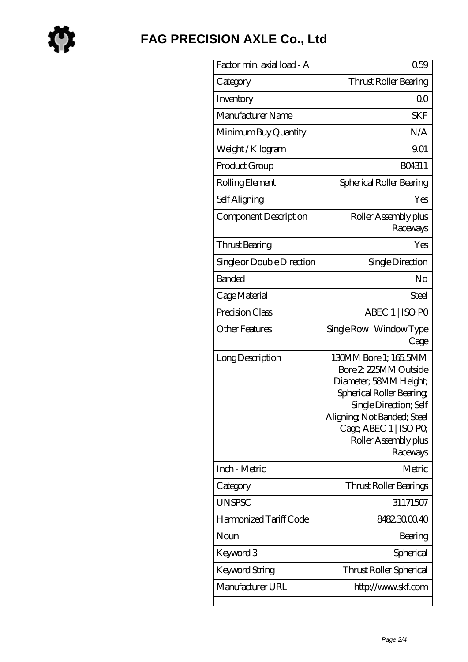

| Factor min. axial load - A | 0.59                                                                                                                                                                                                                        |
|----------------------------|-----------------------------------------------------------------------------------------------------------------------------------------------------------------------------------------------------------------------------|
| Category                   | Thrust Roller Bearing                                                                                                                                                                                                       |
| Inventory                  | 0 <sup>0</sup>                                                                                                                                                                                                              |
| Manufacturer Name          | <b>SKF</b>                                                                                                                                                                                                                  |
| Minimum Buy Quantity       | N/A                                                                                                                                                                                                                         |
| Weight /Kilogram           | 9.01                                                                                                                                                                                                                        |
| Product Group              | BO4311                                                                                                                                                                                                                      |
| Rolling Element            | Spherical Roller Bearing                                                                                                                                                                                                    |
| Self Aligning              | Yes                                                                                                                                                                                                                         |
| Component Description      | Roller Assembly plus<br>Raceways                                                                                                                                                                                            |
| Thrust Bearing             | Yes                                                                                                                                                                                                                         |
| Single or Double Direction | Single Direction                                                                                                                                                                                                            |
| <b>Banded</b>              | No                                                                                                                                                                                                                          |
| Cage Material              | Steel                                                                                                                                                                                                                       |
| Precision Class            | ABEC 1   ISO PO                                                                                                                                                                                                             |
| <b>Other Features</b>      | Single Row   Window Type<br>Cage                                                                                                                                                                                            |
| Long Description           | 130MM Bore 1; 165.5MM<br>Bore 2, 225MM Outside<br>Diameter; 58MM Height;<br>Spherical Roller Bearing<br>Single Direction; Self<br>Aligning, Not Banded; Steel<br>Cage; ABEC 1   ISO PO,<br>Roller Assembly plus<br>Raceways |
| Inch - Metric              | Metric                                                                                                                                                                                                                      |
| Category                   | Thrust Roller Bearings                                                                                                                                                                                                      |
| <b>UNSPSC</b>              | 31171507                                                                                                                                                                                                                    |
| Harmonized Tariff Code     | 8482300040                                                                                                                                                                                                                  |
| Noun                       | Bearing                                                                                                                                                                                                                     |
| Keyword 3                  | Spherical                                                                                                                                                                                                                   |
| Keyword String             | Thrust Roller Spherical                                                                                                                                                                                                     |
| Manufacturer URL           | http://www.skf.com                                                                                                                                                                                                          |
|                            |                                                                                                                                                                                                                             |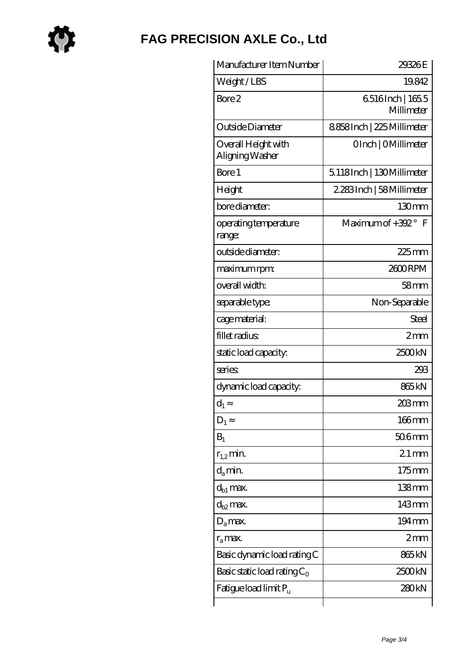

| Manufacturer Item Number               | 29326E                        |
|----------------------------------------|-------------------------------|
| Weight/LBS                             | 19.842                        |
| Bore 2                                 | 6516Inch   1655<br>Millimeter |
| Outside Diameter                       | 8858Inch   225 Millimeter     |
| Overall Height with<br>Aligning Washer | OInch   OMillimeter           |
| Bore 1                                 | 5.118Inch   130Millimeter     |
| Height                                 | 2.283Inch   58Millimeter      |
| bore diameter:                         | 130mm                         |
| operating temperature<br>range:        | Maximum of +392° F            |
| outside diameter:                      | $225$ mm                      |
| maximum rpm:                           | 2600RPM                       |
| overall width:                         | 58 <sub>mm</sub>              |
| separable type:                        | Non-Separable                 |
| cage material:                         | Steel                         |
| fillet radius                          | 2mm                           |
| static load capacity:                  | 2500kN                        |
| series:                                | 293                           |
| dynamic load capacity:                 | 865 <sub>kN</sub>             |
| $d_1$                                  | 203 mm                        |
| $D_1$                                  | 166mm                         |
| $B_1$                                  | 506mm                         |
| $r_{1,2}$ min.                         | $21$ mm                       |
| $d_a$ min.                             | 175mm                         |
| d <sub>b1</sub> max.                   | $138$ mm                      |
| $d_{b2}$ max.                          | 143mm                         |
| $D_a$ max.                             | $194 \,\mathrm{mm}$           |
| $r_a$ max.                             | 2mm                           |
| Basic dynamic load rating C            | 865 <sub>kN</sub>             |
| Basic static load rating $C_0$         | 2500kN                        |
| Fatigue load limit P <sub>u</sub>      | 280kN                         |
|                                        |                               |